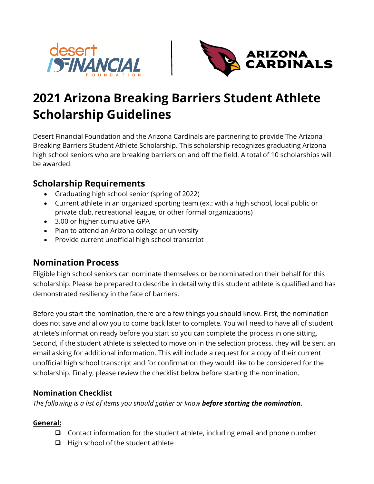



# **2021 Arizona Breaking Barriers Student Athlete Scholarship Guidelines**

Desert Financial Foundation and the Arizona Cardinals are partnering to provide The Arizona Breaking Barriers Student Athlete Scholarship. This scholarship recognizes graduating Arizona high school seniors who are breaking barriers on and off the field. A total of 10 scholarships will be awarded.

## **Scholarship Requirements**

- Graduating high school senior (spring of 2022)
- Current athlete in an organized sporting team (ex.: with a high school, local public or private club, recreational league, or other formal organizations)
- 3.00 or higher cumulative GPA
- Plan to attend an Arizona college or university
- Provide current unofficial high school transcript

# **Nomination Process**

Eligible high school seniors can nominate themselves or be nominated on their behalf for this scholarship. Please be prepared to describe in detail why this student athlete is qualified and has demonstrated resiliency in the face of barriers.

Before you start the nomination, there are a few things you should know. First, the nomination does not save and allow you to come back later to complete. You will need to have all of student athlete's information ready before you start so you can complete the process in one sitting. Second, if the student athlete is selected to move on in the selection process, they will be sent an email asking for additional information. This will include a request for a copy of their current unofficial high school transcript and for confirmation they would like to be considered for the scholarship. Finally, please review the checklist below before starting the nomination.

### **Nomination Checklist**

*The following is a list of items you should gather or know before starting the nomination.*

#### **General:**

- ❑ Contact information for the student athlete, including email and phone number
- ❑ High school of the student athlete